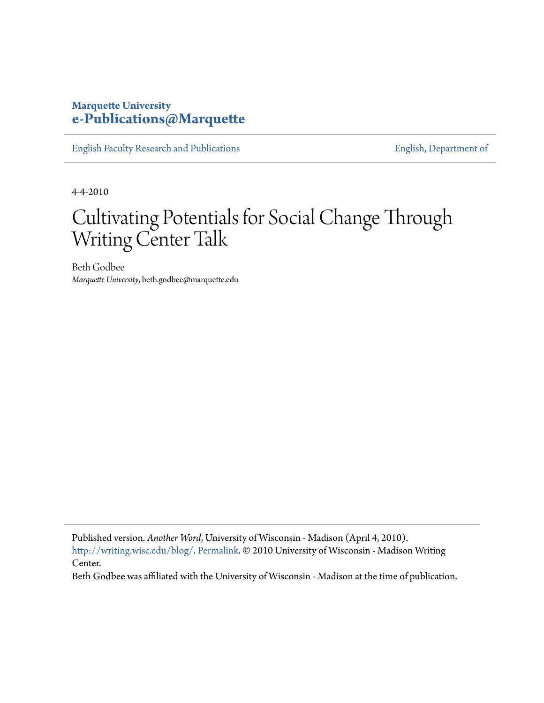## **Marquette University [e-Publications@Marquette](https://epublications.marquette.edu)**

[English Faculty Research and Publications](https://epublications.marquette.edu/english_fac) **[English, Department of](https://epublications.marquette.edu/english)** 

4-4-2010

## Cultivating Potentials for Social Change Through Writing Center Talk

Beth Godbee *Marquette University*, beth.godbee@marquette.edu

Published version. *Another Word*, University of Wisconsin - Madison (April 4, 2010). [http://writing.wisc.edu/blog/.](http://writing.wisc.edu/blog/) [Permalink](http://writing.wisc.edu/blog/?p=300). © 2010 University of Wisconsin - Madison Writing Center.

Beth Godbee was affiliated with the University of Wisconsin - Madison at the time of publication.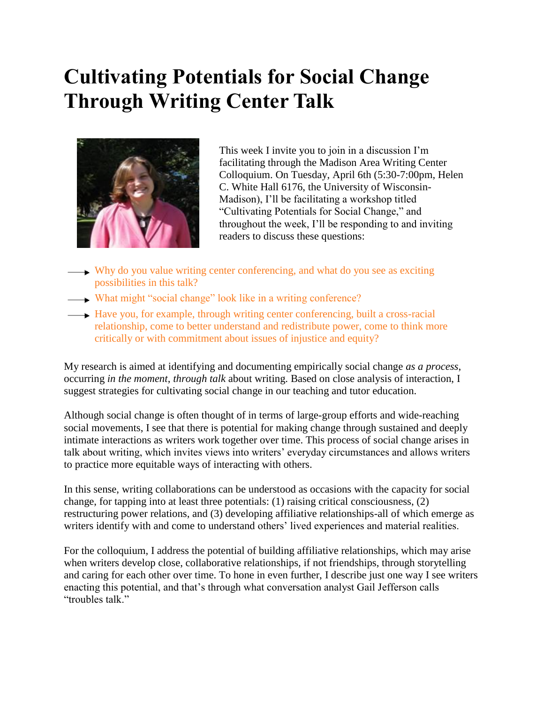## **Cultivating Potentials for Social Change Through Writing Center Talk**



This week I invite you to join in a discussion I'm facilitating through the Madison Area Writing Center Colloquium. On Tuesday, April 6th (5:30-7:00pm, Helen C. White Hall 6176, the University of Wisconsin-Madison), I'll be facilitating a workshop titled "Cultivating Potentials for Social Change," and throughout the week, I'll be responding to and inviting readers to discuss these questions:

- Why do you value writing center conferencing, and what do you see as exciting possibilities in this talk?
- What might "social change" look like in a writing conference?
- Have you, for example, through writing center conferencing, built a cross-racial relationship, come to better understand and redistribute power, come to think more critically or with commitment about issues of injustice and equity?

My research is aimed at identifying and documenting empirically social change *as a process*, occurring *in the moment*, *through talk* about writing. Based on close analysis of interaction, I suggest strategies for cultivating social change in our teaching and tutor education.

Although social change is often thought of in terms of large-group efforts and wide-reaching social movements, I see that there is potential for making change through sustained and deeply intimate interactions as writers work together over time. This process of social change arises in talk about writing, which invites views into writers' everyday circumstances and allows writers to practice more equitable ways of interacting with others.

In this sense, writing collaborations can be understood as occasions with the capacity for social change, for tapping into at least three potentials: (1) raising critical consciousness, (2) restructuring power relations, and (3) developing affiliative relationships-all of which emerge as writers identify with and come to understand others' lived experiences and material realities.

For the colloquium, I address the potential of building affiliative relationships, which may arise when writers develop close, collaborative relationships, if not friendships, through storytelling and caring for each other over time. To hone in even further, I describe just one way I see writers enacting this potential, and that's through what conversation analyst Gail Jefferson calls "troubles talk."